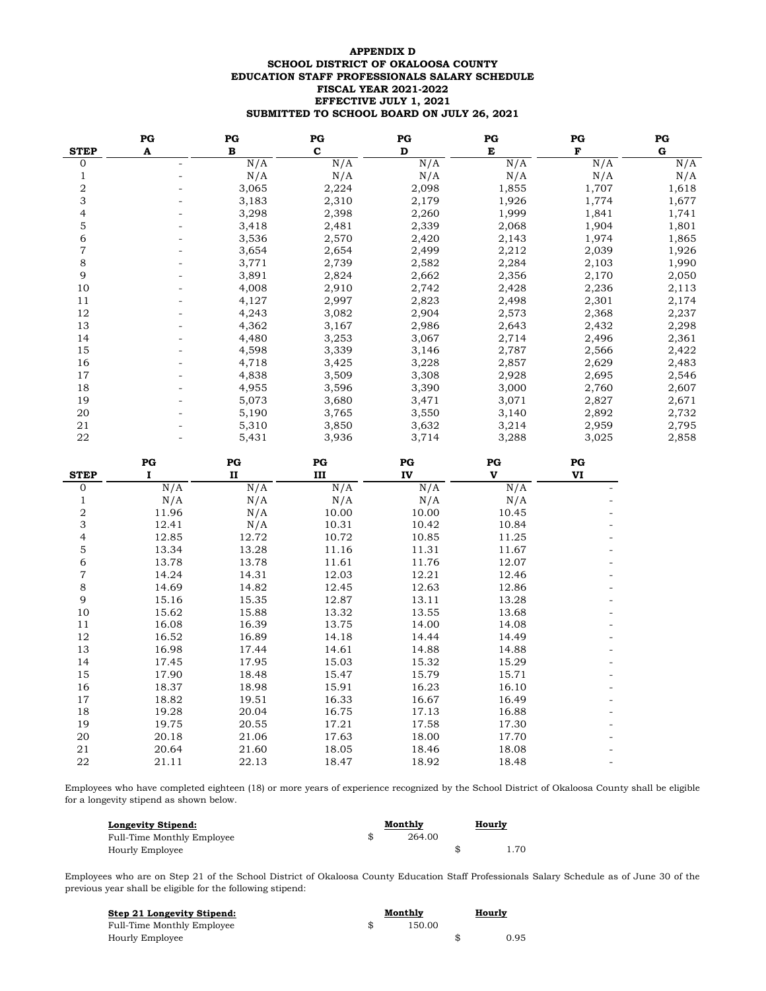# **SCHOOL DISTRICT OF OKALOOSA COUNTY EDUCATION STAFF PROFESSIONALS SALARY SCHEDULE FISCAL YEAR 2021-2022 EFFECTIVE JULY 1, 2021 SUBMITTED TO SCHOOL BOARD ON JULY 26, 2021 APPENDIX D**

|             | $_{PG}$ | $_{PG}$ | $_{PG}$     | $_{PG}$ | $_{PG}$ | $_{PG}$ | $_{PG}$ |
|-------------|---------|---------|-------------|---------|---------|---------|---------|
| <b>STEP</b> | A       | B       | $\mathbf c$ | D       | Е       | F       | G       |
| $\Omega$    |         | N/A     | N/A         | N/A     | N/A     | N/A     | N/A     |
|             |         | N/A     | N/A         | N/A     | N/A     | N/A     | N/A     |
| 2           |         | 3,065   | 2,224       | 2,098   | 1,855   | 1,707   | 1,618   |
| 3           |         | 3,183   | 2,310       | 2,179   | 1,926   | 1,774   | 1,677   |
| 4           |         | 3,298   | 2,398       | 2,260   | 1,999   | 1,841   | 1,741   |
| 5           |         | 3,418   | 2,481       | 2,339   | 2,068   | 1,904   | 1,801   |
| 6           |         | 3,536   | 2,570       | 2,420   | 2,143   | 1,974   | 1,865   |
| 7           |         | 3,654   | 2,654       | 2,499   | 2,212   | 2,039   | 1,926   |
| 8           |         | 3,771   | 2,739       | 2,582   | 2,284   | 2,103   | 1,990   |
| 9           |         | 3,891   | 2,824       | 2,662   | 2,356   | 2,170   | 2,050   |
| 10          |         | 4,008   | 2,910       | 2,742   | 2,428   | 2,236   | 2,113   |
| 11          |         | 4,127   | 2,997       | 2,823   | 2,498   | 2,301   | 2,174   |
| 12          |         | 4,243   | 3,082       | 2,904   | 2,573   | 2,368   | 2,237   |
| 13          |         | 4,362   | 3,167       | 2,986   | 2,643   | 2,432   | 2,298   |
| 14          |         | 4,480   | 3,253       | 3,067   | 2,714   | 2,496   | 2,361   |
| 15          |         | 4,598   | 3,339       | 3,146   | 2,787   | 2,566   | 2,422   |
| 16          |         | 4,718   | 3,425       | 3,228   | 2,857   | 2,629   | 2,483   |
| 17          |         | 4,838   | 3,509       | 3,308   | 2,928   | 2,695   | 2,546   |
| 18          |         | 4,955   | 3,596       | 3,390   | 3,000   | 2,760   | 2,607   |
| 19          |         | 5,073   | 3,680       | 3,471   | 3,071   | 2,827   | 2,671   |
| 20          |         | 5,190   | 3,765       | 3,550   | 3,140   | 2,892   | 2,732   |
| 21          |         | 5,310   | 3,850       | 3,632   | 3,214   | 2,959   | 2,795   |
| 22          |         | 5,431   | 3,936       | 3,714   | 3,288   | 3,025   | 2,858   |

|                | PG    | PG           | PG    | PG    | PG    | $_{PG}$ |
|----------------|-------|--------------|-------|-------|-------|---------|
| <b>STEP</b>    |       | $\mathbf{I}$ | III   | IV    | v     | VI      |
| 0              | N/A   | N/A          | N/A   | N/A   | N/A   |         |
| 1              | N/A   | N/A          | N/A   | N/A   | N/A   |         |
| $\sqrt{2}$     | 11.96 | N/A          | 10.00 | 10.00 | 10.45 |         |
| 3              | 12.41 | N/A          | 10.31 | 10.42 | 10.84 |         |
| $\overline{4}$ | 12.85 | 12.72        | 10.72 | 10.85 | 11.25 |         |
| 5              | 13.34 | 13.28        | 11.16 | 11.31 | 11.67 |         |
| 6              | 13.78 | 13.78        | 11.61 | 11.76 | 12.07 |         |
| $\overline{7}$ | 14.24 | 14.31        | 12.03 | 12.21 | 12.46 |         |
| $\,8\,$        | 14.69 | 14.82        | 12.45 | 12.63 | 12.86 |         |
| 9              | 15.16 | 15.35        | 12.87 | 13.11 | 13.28 |         |
| 10             | 15.62 | 15.88        | 13.32 | 13.55 | 13.68 |         |
| 11             | 16.08 | 16.39        | 13.75 | 14.00 | 14.08 |         |
| 12             | 16.52 | 16.89        | 14.18 | 14.44 | 14.49 |         |
| 13             | 16.98 | 17.44        | 14.61 | 14.88 | 14.88 |         |
| 14             | 17.45 | 17.95        | 15.03 | 15.32 | 15.29 |         |
| 15             | 17.90 | 18.48        | 15.47 | 15.79 | 15.71 |         |
| 16             | 18.37 | 18.98        | 15.91 | 16.23 | 16.10 |         |
| 17             | 18.82 | 19.51        | 16.33 | 16.67 | 16.49 |         |
| 18             | 19.28 | 20.04        | 16.75 | 17.13 | 16.88 |         |
| 19             | 19.75 | 20.55        | 17.21 | 17.58 | 17.30 |         |
| 20             | 20.18 | 21.06        | 17.63 | 18.00 | 17.70 |         |
| 21             | 20.64 | 21.60        | 18.05 | 18.46 | 18.08 |         |
| 22             | 21.11 | 22.13        | 18.47 | 18.92 | 18.48 |         |

Employees who have completed eighteen (18) or more years of experience recognized by the School District of Okaloosa County shall be eligible for a longevity stipend as shown below.

| Longevity Stipend:         | Monthly | <b>Hourly</b> |
|----------------------------|---------|---------------|
| Full-Time Monthly Employee | 264.00  |               |
| Hourly Employee            |         | 1.70          |

Employees who are on Step 21 of the School District of Okaloosa County Education Staff Professionals Salary Schedule as of June 30 of the previous year shall be eligible for the following stipend:

| Step 21 Longevity Stipend: | Monthly | <b>Hourly</b> |
|----------------------------|---------|---------------|
| Full-Time Monthly Employee | 150.00  |               |
| Hourly Employee            |         | 0.95          |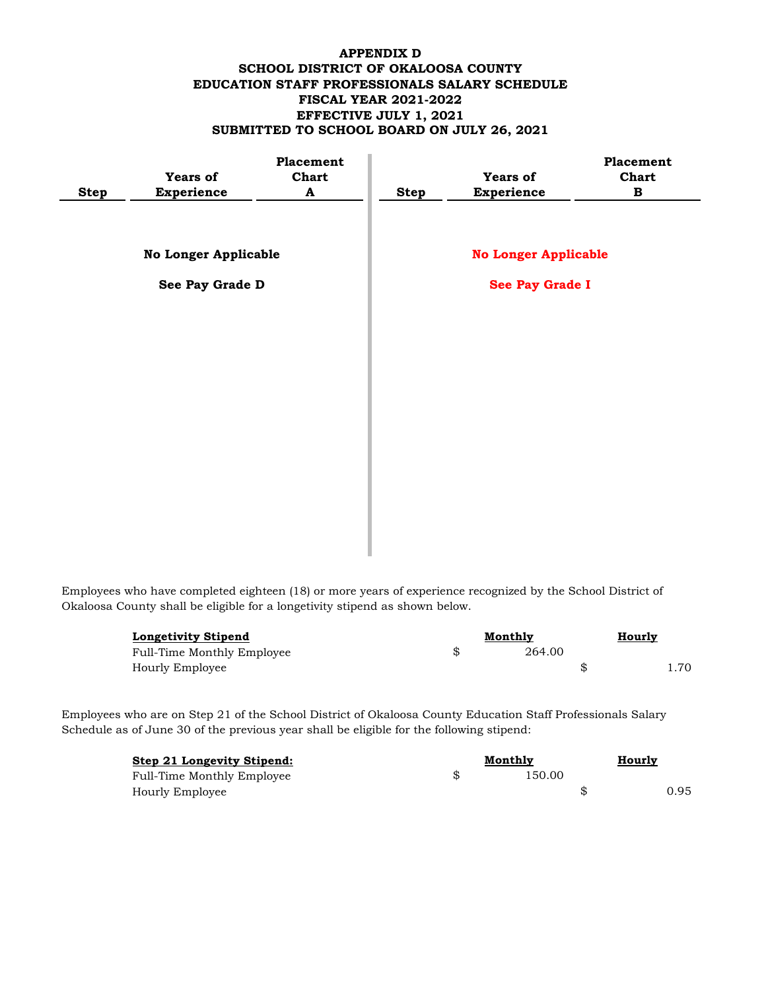# **APPENDIX D SCHOOL DISTRICT OF OKALOOSA COUNTY EDUCATION STAFF PROFESSIONALS SALARY SCHEDULE FISCAL YEAR 2021-2022 EFFECTIVE JULY 1, 2021 SUBMITTED TO SCHOOL BOARD ON JULY 26, 2021**

|             | <b>Years of</b>             | Placement<br><b>Chart</b> |             | <b>Years of</b>             | Placement<br><b>Chart</b> |
|-------------|-----------------------------|---------------------------|-------------|-----------------------------|---------------------------|
| <b>Step</b> | <b>Experience</b>           | A                         | <b>Step</b> | Experience                  | B                         |
|             |                             |                           |             |                             |                           |
|             | <b>No Longer Applicable</b> |                           |             | <b>No Longer Applicable</b> |                           |
|             | See Pay Grade D             |                           |             | See Pay Grade I             |                           |
|             |                             |                           |             |                             |                           |
|             |                             |                           |             |                             |                           |
|             |                             |                           |             |                             |                           |
|             |                             |                           |             |                             |                           |
|             |                             |                           |             |                             |                           |
|             |                             |                           |             |                             |                           |
|             |                             |                           |             |                             |                           |
|             |                             |                           |             |                             |                           |

Employees who have completed eighteen (18) or more years of experience recognized by the School District of Okaloosa County shall be eligible for a longetivity stipend as shown below.

| <b>Longetivity Stipend</b> |  | Monthly |  | <u>Hourly</u> |
|----------------------------|--|---------|--|---------------|
| Full-Time Monthly Employee |  | 264.00  |  |               |
| Hourly Employee            |  |         |  | .70           |

Employees who are on Step 21 of the School District of Okaloosa County Education Staff Professionals Salary Schedule as of June 30 of the previous year shall be eligible for the following stipend:

| Step 21 Longevity Stipend: | Monthly | Hourly |  |      |
|----------------------------|---------|--------|--|------|
| Full-Time Monthly Employee |         | 150.00 |  |      |
| Hourly Employee            |         |        |  | 0.95 |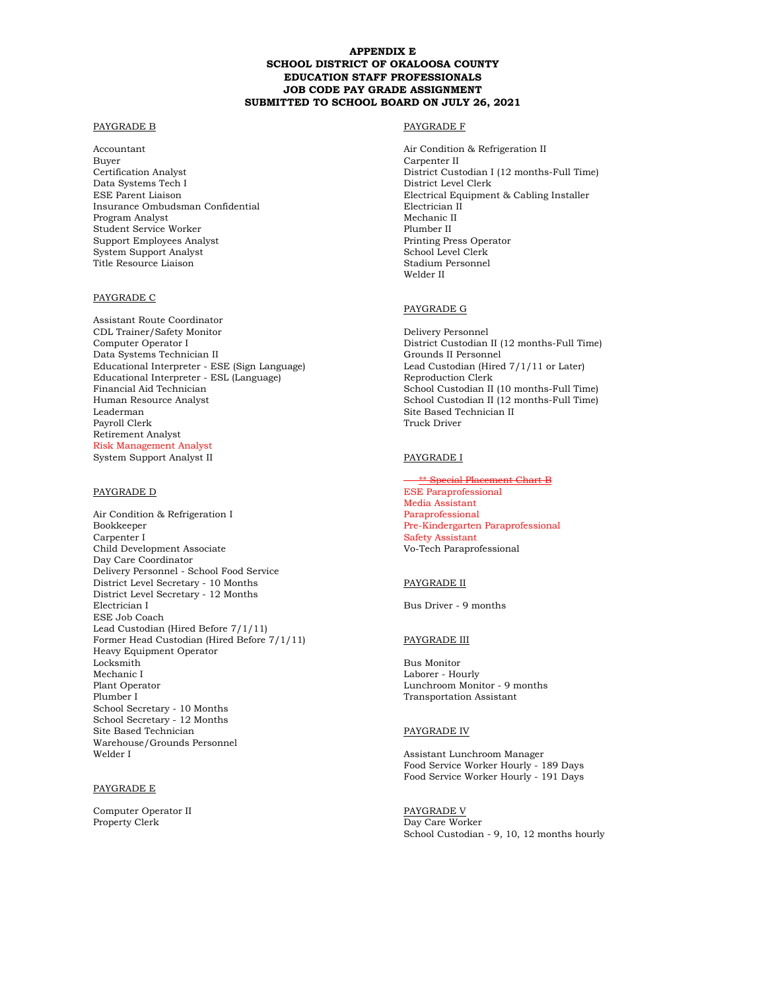## **APPENDIX E SCHOOL DISTRICT OF OKALOOSA COUNTY EDUCATION STAFF PROFESSIONALS JOB CODE PAY GRADE ASSIGNMENT SUBMITTED TO SCHOOL BOARD ON JULY 26, 2021**

### PAYGRADE B PAYGRADE F

Accountant Air Condition & Refrigeration II Buyer Carpenter II Data Systems Tech I District Level Clerk Insurance Ombudsman Confidential Program Analyst Mechanic II Student Service Worker Plumber II Support Employees Analyst **Principal Printing Press Operator** Printing Press Operator System Support Analyst School Level Clerk Title Resource Liaison Stadium Personnel

### PAYGRADE C

Assistant Route Coordinator CDL Trainer/Safety Monitor Delivery Personnel Data Systems Technician II Educational Interpreter - ESE (Sign Language) Lead Custodian (Hired 7/1/11 or Later)<br>Educational Interpreter - ESL (Language) Reproduction Clerk Educational Interpreter - ESL (Language) Financial Aid Technician School Custodian II (10 months-Full Time) Human Resource Analyst School Custodian II (12 months-Full Time)<br>Leaderman Site Based Technician II Payroll Clerk Retirement Analyst Risk Management Analyst System Support Analyst II PAYGRADE I

Air Condition & Refrigeration I Paraprofessional Bookkeeper **Pre-Kindergarten Paraprofessional** Carpenter I Safety Assistant Child Development Associate Vo-Tech Paraprofessional Day Care Coordinator Delivery Personnel - School Food Service District Level Secretary - 10 Months PAYGRADE II District Level Secretary - 12 Months Electrician I Bus Driver - 9 months ESE Job Coach Lead Custodian (Hired Before 7/1/11) Former Head Custodian (Hired Before 7/1/11) PAYGRADE III Heavy Equipment Operator Locksmith Bus Monitor Mechanic I Laborer - Hourly Plant Operator Lunchroom Monitor - 9 months School Secretary - 10 Months School Secretary - 12 Months Site Based Technician PAYGRADE IV Warehouse/Grounds Personnel Welder I Assistant Lunchroom Manager

### PAYGRADE E

Computer Operator II PAYGRADE V Property Clerk Day Care Worker

Certification Analyst District Custodian I (12 months-Full Time) ESE Parent Liaison Electrical Equipment & Cabling Installer Welder II

# PAYGRADE G

District Custodian II (12 months-Full Time)<br>Grounds II Personnel Site Based Technician II<br>Truck Driver

**Special Placement Chart B** PAYGRADE D ESE Paraprofessional Media Assistant

**Transportation Assistant** 

Food Service Worker Hourly - 189 Days Food Service Worker Hourly - 191 Days

School Custodian - 9, 10, 12 months hourly